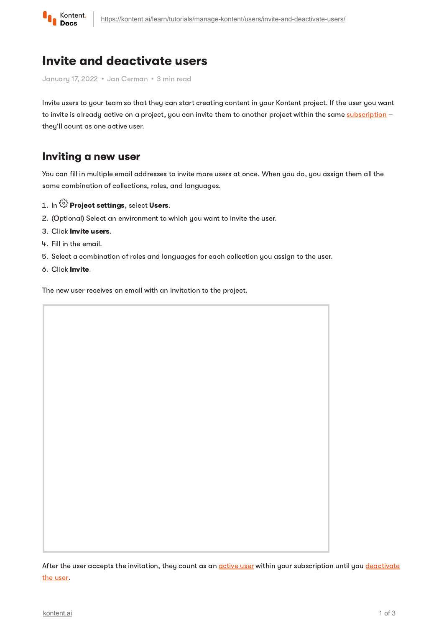

# Invite and deactivate users

January 17, 2022 · Jan Cerman · 3 min read

Invite users to your team so that they can start creating content in your Kontent project. If the user you want to invite is already active on a project, you can invite them to another project within the same [subscription](https://kontent.ai/learn/tutorials/manage-kontent/subscriptions/manage-subscriptions/) they'll count as one active user.

## Inviting a new user

You can fill in multiple email addresses to invite more users at once. When you do, you assign them all the same combination of collections, roles, and languages.

- 1. In  $\widehat{\mathbb{G}}$  Project settings, select Users.
- 2 (Optional) Select an environment to which you want to invite the user.
- 3. Click Invite users.
- 4. Fill in the email.
- Select a combination of roles and languages for each collection you assign to the user.
- 6. Click Invite.

The new user receives an email with an invitation to the project.

After the user accepts the invitation, they count as an [active](https://kontent.ai/learn/tutorials/manage-kontent/subscriptions/usage-report/) user within your [subscription](#page-1-0) until you deactivate the user.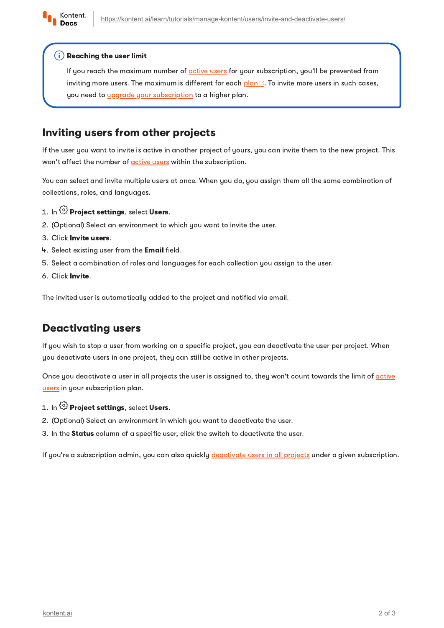

#### $(i)$  Reaching the user limit

If you reach the maximum number of [active](https://kontent.ai/learn/tutorials/manage-kontent/subscriptions/usage-report/) users for your subscription, you'll be prevented from inviting more users. The maximum is different for each  $\frac{\log n}{n}$ . To invite more users in such cases, you need to *upgrade your [subscription](https://kontent.ai/learn/tutorials/manage-kontent/subscriptions/manage-subscriptions/#a-change-subscription-plan)* to a higher plan.

## Inviting users from other projects

If the user you want to invite is active in another project of yours, you can invite them to the new project. This won't affect the number of **[active](https://kontent.ai/learn/tutorials/manage-kontent/subscriptions/usage-report/) users** within the subscription.

You can select and invite multiple users at once. When you do, you assign them all the same combination of collections, roles, and languages.

- 1. In  $\widehat{\mathbb{G}}$  Project settings, select Users.
- 2 (Optional) Select an environment to which you want to invite the user.
- 3. Click Invite users.
- 4. Select existing user from the Email field.
- Select a combination of roles and languages for each collection you assign to the user.
- 6. Click Invite.

The invited user is automatically added to the project and notified via email.

## <span id="page-1-0"></span>Deactivating users

If you wish to stop a user from working on a specific project, you can deactivate the user per project. When you deactivate users in one project, they can still be active in other projects.

Once you deactivate a user in all projects the user is assigned to, they won't count towards the limit of active users in your [subscription](https://kontent.ai/learn/tutorials/manage-kontent/subscriptions/usage-report/) plan.

#### 1. In  $\widehat{\mathbb{G}}$  Project settings, select Users.

- 2 (Optional) Select an environment in which you want to deactivate the user.
- 3. In the Status column of a specific user, click the switch to deactivate the user.

If you're a subscription admin, you can also quickly [deactivate](https://kontent.ai/learn/tutorials/manage-kontent/subscriptions/manage-subscriptions/#a-manage-users-under-your-subscription) users in all projects under a given subscription.